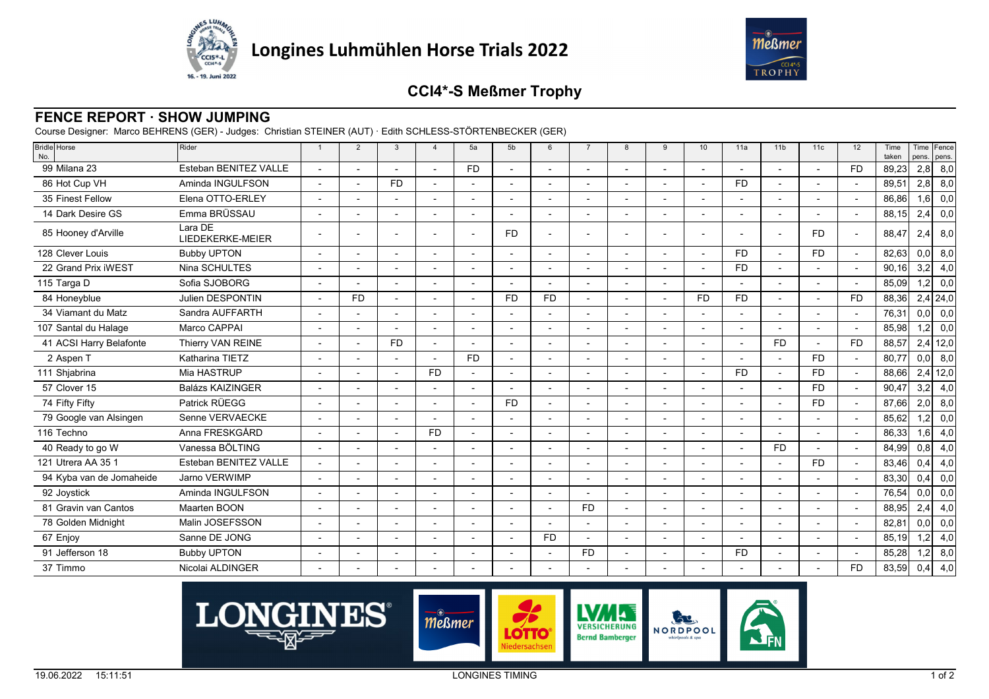



## **CCI4\*-S Meßmer Trophy**

## **FENCE REPORT · SHOW JUMPING**

Course Designer: Marco BEHRENS (GER) - Judges: Christian STEINER (AUT) · Edith SCHLESS-STÖRTENBECKER (GER)

| Bridle Horse<br>No.      | Rider                       | $\overline{1}$           | $\overline{2}$           | 3              | $\overline{a}$ | 5a        | 5b        | 6                        | $\overline{7}$ | 8                        | $\mathbf{q}$ | 10             | 11a       | 11 <sub>b</sub>          | 11c       | 12        | Time<br>taken | pens. | Time Fence<br>pens. |
|--------------------------|-----------------------------|--------------------------|--------------------------|----------------|----------------|-----------|-----------|--------------------------|----------------|--------------------------|--------------|----------------|-----------|--------------------------|-----------|-----------|---------------|-------|---------------------|
| 99 Milana 23             | Esteban BENITEZ VALLE       |                          |                          |                |                | <b>FD</b> |           |                          |                | $\blacksquare$           |              |                |           |                          |           | <b>FD</b> | 89,23         | 2,8   | 8,0                 |
| 86 Hot Cup VH            | Aminda INGULFSON            |                          |                          | <b>FD</b>      |                |           |           |                          |                |                          |              |                | <b>FD</b> |                          |           |           | 89,51         | 2,8   | 8,0                 |
| 35 Finest Fellow         | Elena OTTO-ERLEY            |                          |                          |                |                |           |           |                          |                |                          |              |                |           |                          |           |           | 86,86         | 1,6   | 0,0                 |
| 14 Dark Desire GS        | Emma BRÜSSAU                |                          |                          |                |                |           |           |                          |                |                          |              |                |           |                          |           |           | 88,15         | 2,4   | 0,0                 |
| 85 Hooney d'Arville      | Lara DE<br>LIEDEKERKE-MEIER |                          |                          |                |                |           | <b>FD</b> |                          |                |                          |              |                |           |                          | <b>FD</b> |           | 88,47         | 2,4   | 8,0                 |
| 128 Clever Louis         | <b>Bubby UPTON</b>          |                          |                          |                |                |           |           |                          |                |                          |              |                | <b>FD</b> |                          | <b>FD</b> |           | 82,63         | 0,0   | 8,0                 |
| 22 Grand Prix iWEST      | Nina SCHULTES               |                          |                          |                |                |           |           |                          |                |                          |              |                | <b>FD</b> |                          |           |           | 90,16         | 3,2   | 4,0                 |
| 115 Targa D              | Sofia SJOBORG               |                          |                          |                |                |           |           |                          |                |                          |              |                |           |                          |           |           | 85,09         | 1,2   | 0,0                 |
| 84 Honeyblue             | Julien DESPONTIN            |                          | <b>FD</b>                | $\overline{a}$ |                |           | <b>FD</b> | <b>FD</b>                |                | $\overline{\phantom{a}}$ |              | <b>FD</b>      | <b>FD</b> | $\overline{\phantom{a}}$ |           | <b>FD</b> | 88,36         |       | $2,4$ 24,0          |
| 34 Viamant du Matz       | Sandra AUFFARTH             |                          |                          |                |                |           |           |                          |                |                          |              |                |           |                          |           |           | 76,31         | 0,0   | 0,0                 |
| 107 Santal du Halage     | Marco CAPPAI                |                          |                          |                |                |           |           |                          |                |                          |              |                |           |                          |           |           | 85,98         | 1,2   | 0,0                 |
| 41 ACSI Harry Belafonte  | Thierry VAN REINE           |                          |                          | <b>FD</b>      |                |           |           |                          |                | $\blacksquare$           |              |                |           | <b>FD</b>                |           | <b>FD</b> | 88,57         |       | $2,4$ 12,0          |
| 2 Aspen T                | Katharina TIETZ             |                          |                          |                |                | <b>FD</b> |           |                          |                |                          |              |                |           |                          | <b>FD</b> |           | 80,77         | 0,0   | 8,0                 |
| 111 Shjabrina            | Mia HASTRUP                 |                          |                          |                | <b>FD</b>      |           |           |                          |                |                          |              |                | <b>FD</b> |                          | <b>FD</b> |           | 88.66         | 2,4   | 12,0                |
| 57 Clover 15             | <b>Balázs KAIZINGER</b>     |                          | $\overline{a}$           |                |                |           |           | $\overline{\phantom{a}}$ |                | $\blacksquare$           |              | $\blacksquare$ |           |                          | <b>FD</b> |           | 90.47         | 3,2   | 4,0                 |
| 74 Fifty Fifty           | Patrick RÜEGG               |                          |                          |                |                |           | <b>FD</b> |                          |                |                          |              |                |           |                          | <b>FD</b> |           | 87,66         | 2,0   | 8,0                 |
| 79 Google van Alsingen   | Senne VERVAECKE             |                          |                          |                |                |           |           |                          |                |                          |              |                |           |                          |           |           | 85,62         | 1,2   | 0,0                 |
| 116 Techno               | Anna FRESKGÅRD              |                          |                          |                | <b>FD</b>      |           |           |                          |                |                          |              |                |           |                          |           |           | 86,33         | 1,6   | 4,0                 |
| 40 Ready to go W         | Vanessa BÖLTING             |                          |                          |                |                |           |           |                          |                | ٠                        |              |                |           | <b>FD</b>                |           |           | 84,99         | 0,8   | 4,0                 |
| 121 Utrera AA 35 1       | Esteban BENITEZ VALLE       |                          |                          |                |                |           |           |                          |                |                          |              |                |           |                          | <b>FD</b> |           | 83,46         | 0,4   | 4,0                 |
| 94 Kyba van de Jomaheide | Jarno VERWIMP               |                          |                          |                |                |           |           |                          |                |                          |              |                |           |                          |           |           | 83.30         | 0,4   | 0,0                 |
| 92 Joystick              | Aminda INGULFSON            |                          |                          |                |                |           |           | $\blacksquare$           |                |                          |              |                |           |                          |           |           | 76,54         | 0,0   | 0,0                 |
| 81 Gravin van Cantos     | Maarten BOON                |                          |                          |                |                |           |           |                          | <b>FD</b>      |                          |              |                |           |                          |           |           | 88,95         | 2,4   | 4,0                 |
| 78 Golden Midnight       | Malin JOSEFSSON             |                          |                          |                |                |           |           |                          |                | $\overline{a}$           |              | $\overline{a}$ |           |                          |           |           | 82,81         | 0,0   | 0,0                 |
| 67 Enjoy                 | Sanne DE JONG               |                          |                          |                |                |           |           | <b>FD</b>                |                |                          |              |                |           |                          |           |           | 85,19         | 1,2   | 4,0                 |
| 91 Jefferson 18          | <b>Bubby UPTON</b>          | $\overline{\phantom{a}}$ | $\overline{\phantom{a}}$ | ٠              |                |           |           | $\overline{a}$           | <b>FD</b>      | $\blacksquare$           |              | ٠              | <b>FD</b> | $\overline{\phantom{a}}$ |           |           | 85,28         | 1,2   | 8,0                 |
| 37 Timmo                 | Nicolai ALDINGER            |                          |                          |                |                |           |           |                          |                |                          |              |                |           |                          |           | <b>FD</b> | 83,59         | 0,4   | 4,0                 |
|                          |                             |                          |                          |                |                |           |           |                          |                |                          |              |                |           |                          |           |           |               |       |                     |